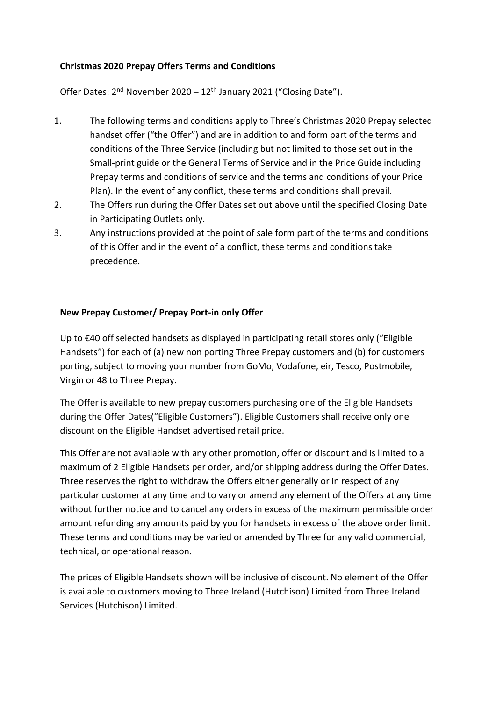## **Christmas 2020 Prepay Offers Terms and Conditions**

Offer Dates: 2<sup>nd</sup> November 2020 - 12<sup>th</sup> January 2021 ("Closing Date").

- 1. The following terms and conditions apply to Three's Christmas 2020 Prepay selected handset offer ("the Offer") and are in addition to and form part of the terms and conditions of the Three Service (including but not limited to those set out in the Small-print guide or the General Terms of Service and in the Price Guide including Prepay terms and conditions of service and the terms and conditions of your Price Plan). In the event of any conflict, these terms and conditions shall prevail.
- 2. The Offers run during the Offer Dates set out above until the specified Closing Date in Participating Outlets only.
- 3. Any instructions provided at the point of sale form part of the terms and conditions of this Offer and in the event of a conflict, these terms and conditions take precedence.

## **New Prepay Customer/ Prepay Port-in only Offer**

Up to €40 off selected handsets as displayed in participating retail stores only ("Eligible Handsets") for each of (a) new non porting Three Prepay customers and (b) for customers porting, subject to moving your number from GoMo, Vodafone, eir, Tesco, Postmobile, Virgin or 48 to Three Prepay.

The Offer is available to new prepay customers purchasing one of the Eligible Handsets during the Offer Dates("Eligible Customers"). Eligible Customers shall receive only one discount on the Eligible Handset advertised retail price.

This Offer are not available with any other promotion, offer or discount and is limited to a maximum of 2 Eligible Handsets per order, and/or shipping address during the Offer Dates. Three reserves the right to withdraw the Offers either generally or in respect of any particular customer at any time and to vary or amend any element of the Offers at any time without further notice and to cancel any orders in excess of the maximum permissible order amount refunding any amounts paid by you for handsets in excess of the above order limit. These terms and conditions may be varied or amended by Three for any valid commercial, technical, or operational reason.

The prices of Eligible Handsets shown will be inclusive of discount. No element of the Offer is available to customers moving to Three Ireland (Hutchison) Limited from Three Ireland Services (Hutchison) Limited.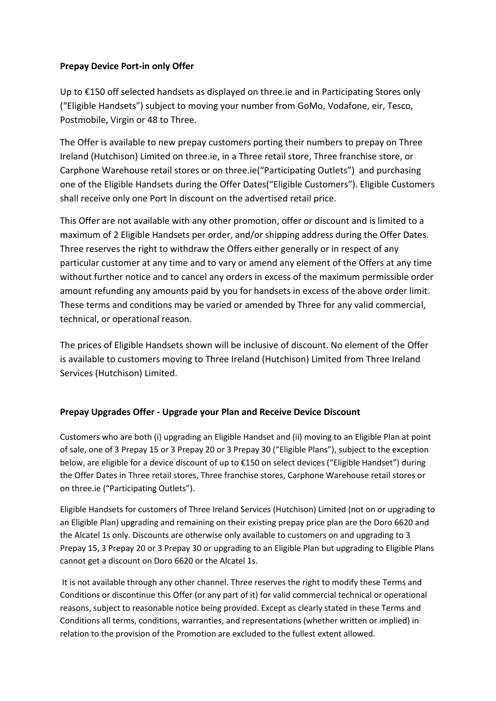## **Prepay Device Port-in only Offer**

Up to €150 off selected handsets as displayed on three.ie and in Participating Stores only ("Eligible Handsets") subject to moving your number from GoMo, Vodafone, eir, Tesco, Postmobile, Virgin or 48 to Three.

The Offer is available to new prepay customers porting their numbers to prepay on Three Ireland (Hutchison) Limited on three.ie, in a Three retail store, Three franchise store, or Carphone Warehouse retail stores or on three.ie("Participating Outlets") and purchasing one of the Eligible Handsets during the Offer Dates("Eligible Customers"). Eligible Customers shall receive only one Port In discount on the advertised retail price.

This Offer are not available with any other promotion, offer or discount and is limited to a maximum of 2 Eligible Handsets per order, and/or shipping address during the Offer Dates. Three reserves the right to withdraw the Offers either generally or in respect of any particular customer at any time and to vary or amend any element of the Offers at any time without further notice and to cancel any orders in excess of the maximum permissible order amount refunding any amounts paid by you for handsets in excess of the above order limit. These terms and conditions may be varied or amended by Three for any valid commercial, technical, or operational reason.

The prices of Eligible Handsets shown will be inclusive of discount. No element of the Offer is available to customers moving to Three Ireland (Hutchison) Limited from Three Ireland Services (Hutchison) Limited.

## **Prepay Upgrades Offer - Upgrade your Plan and Receive Device Discount**

Customers who are both (i) upgrading an Eligible Handset and (ii) moving to an Eligible Plan at point of sale, one of 3 Prepay 15 or 3 Prepay 20 or 3 Prepay 30 ("Eligible Plans"), subject to the exception below, are eligible for a device discount of up to €150 on select devices ("Eligible Handset") during the Offer Dates in Three retail stores, Three franchise stores, Carphone Warehouse retail stores or on three.ie ("Participating Outlets").

Eligible Handsets for customers of Three Ireland Services (Hutchison) Limited (not on or upgrading to an Eligible Plan) upgrading and remaining on their existing prepay price plan are the Doro 6620 and the Alcatel 1s only. Discounts are otherwise only available to customers on and upgrading to 3 Prepay 15, 3 Prepay 20 or 3 Prepay 30 or upgrading to an Eligible Plan but upgrading to Eligible Plans cannot get a discount on Doro 6620 or the Alcatel 1s.

It is not available through any other channel. Three reserves the right to modify these Terms and Conditions or discontinue this Offer (or any part of it) for valid commercial technical or operational reasons, subject to reasonable notice being provided. Except as clearly stated in these Terms and Conditions all terms, conditions, warranties, and representations (whether written or implied) in relation to the provision of the Promotion are excluded to the fullest extent allowed.